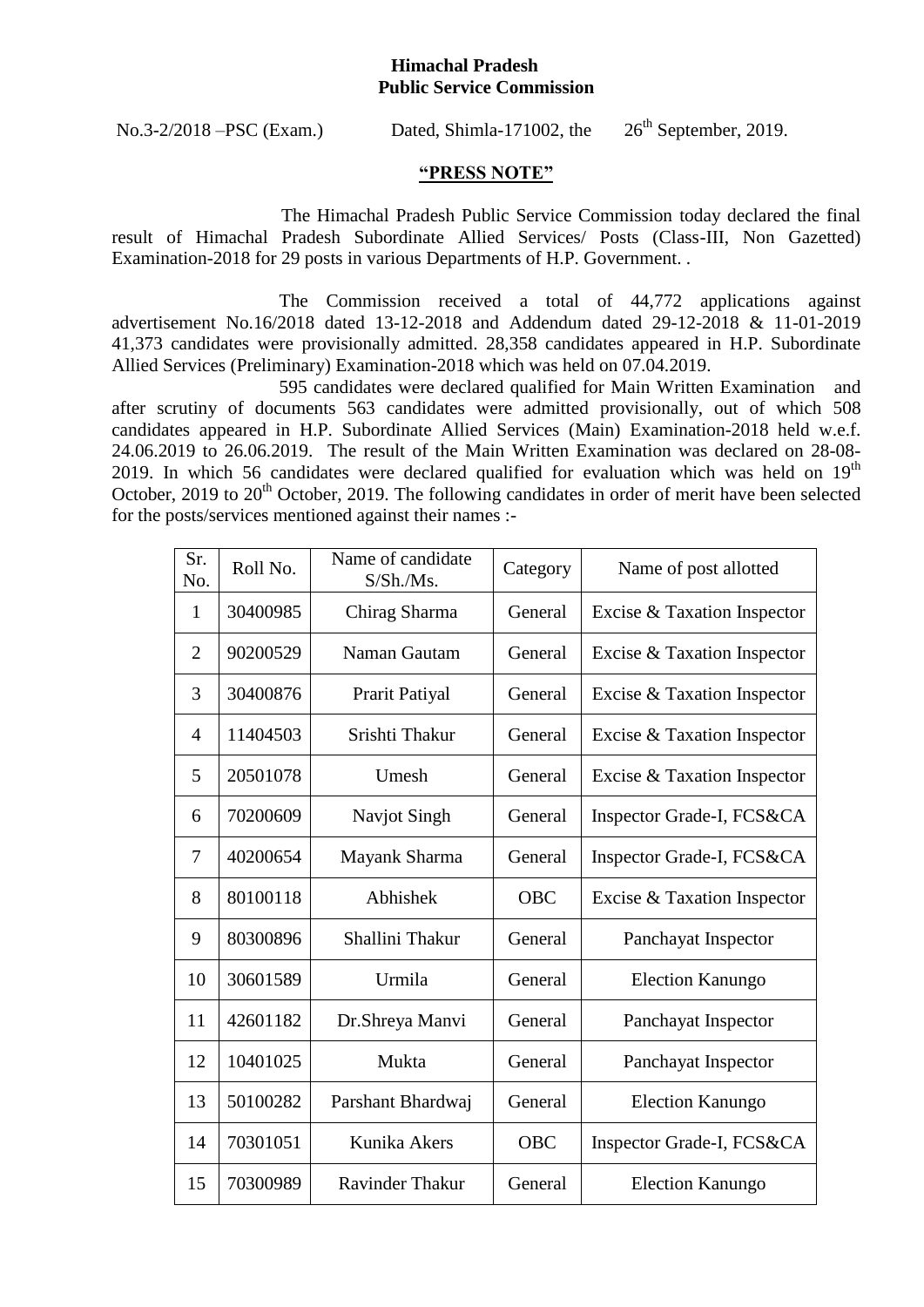## **Himachal Pradesh Public Service Commission**

No.3-2/2018 –PSC (Exam.) Dated, Shimla-171002, the

 $26<sup>th</sup>$  September, 2019.

## **"PRESS NOTE"**

The Himachal Pradesh Public Service Commission today declared the final result of Himachal Pradesh Subordinate Allied Services/ Posts (Class-III, Non Gazetted) Examination-2018 for 29 posts in various Departments of H.P. Government. .

The Commission received a total of 44,772 applications against advertisement No.16/2018 dated 13-12-2018 and Addendum dated 29-12-2018 & 11-01-2019 41,373 candidates were provisionally admitted. 28,358 candidates appeared in H.P. Subordinate Allied Services (Preliminary) Examination-2018 which was held on 07.04.2019.

595 candidates were declared qualified for Main Written Examination and after scrutiny of documents 563 candidates were admitted provisionally, out of which 508 candidates appeared in H.P. Subordinate Allied Services (Main) Examination-2018 held w.e.f. 24.06.2019 to 26.06.2019. The result of the Main Written Examination was declared on 28-08- 2019. In which 56 candidates were declared qualified for evaluation which was held on  $19<sup>th</sup>$ October, 2019 to 20<sup>th</sup> October, 2019. The following candidates in order of merit have been selected for the posts/services mentioned against their names :-

| Sr.<br>No.     | Roll No. | Name of candidate<br>$S/Sh/Ms$ . | Category   | Name of post allotted       |
|----------------|----------|----------------------------------|------------|-----------------------------|
| 1              | 30400985 | Chirag Sharma                    | General    | Excise & Taxation Inspector |
| $\overline{2}$ | 90200529 | Naman Gautam                     | General    | Excise & Taxation Inspector |
| 3              | 30400876 | Prarit Patiyal                   | General    | Excise & Taxation Inspector |
| 4              | 11404503 | Srishti Thakur                   | General    | Excise & Taxation Inspector |
| 5              | 20501078 | Umesh                            | General    | Excise & Taxation Inspector |
| 6              | 70200609 | Navjot Singh                     | General    | Inspector Grade-I, FCS&CA   |
| 7              | 40200654 | Mayank Sharma                    | General    | Inspector Grade-I, FCS&CA   |
| 8              | 80100118 | Abhishek                         | <b>OBC</b> | Excise & Taxation Inspector |
| 9              | 80300896 | Shallini Thakur                  | General    | Panchayat Inspector         |
| 10             | 30601589 | Urmila                           | General    | <b>Election Kanungo</b>     |
| 11             | 42601182 | Dr.Shreya Manvi                  | General    | Panchayat Inspector         |
| 12             | 10401025 | Mukta                            | General    | Panchayat Inspector         |
| 13             | 50100282 | Parshant Bhardwaj                | General    | <b>Election Kanungo</b>     |
| 14             | 70301051 | Kunika Akers                     | <b>OBC</b> | Inspector Grade-I, FCS&CA   |
| 15             | 70300989 | <b>Ravinder Thakur</b>           | General    | <b>Election Kanungo</b>     |